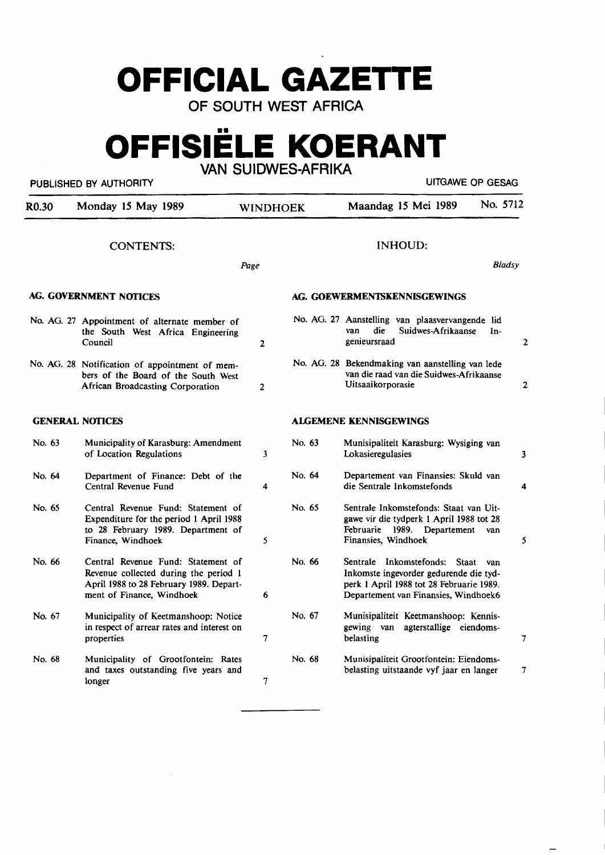# **OFFICIAL GAZETTE**

OF SOUTH WEST AFRICA

# **OFFISIELE KOERANT**

VAN SUIDWES-AFRIKA

## PUBLISHED BY AUTHORITY **EXECUTE A SECURE 2018 THE SECURE 2019 THE SECURE 2019 THE SECURE 2019 THE SECURE 2019**

 $\overline{\phantom{0}}$ 

| R0.30  | Monday 15 May 1989                                                                                                                                  | <b>WINDHOEK</b> |        | No. 5712<br>Maandag 15 Mei 1989                                                                                                                                    |                |
|--------|-----------------------------------------------------------------------------------------------------------------------------------------------------|-----------------|--------|--------------------------------------------------------------------------------------------------------------------------------------------------------------------|----------------|
|        | <b>CONTENTS:</b>                                                                                                                                    | Page            |        | <b>INHOUD:</b><br><b>Bladsy</b>                                                                                                                                    |                |
|        | AG. GOVERNMENT NOTICES                                                                                                                              |                 |        | AG. GOEWERMENTSKENNISGEWINGS                                                                                                                                       |                |
|        | No. AG. 27 Appointment of alternate member of<br>the South West Africa Engineering<br>Council                                                       | 2               |        | No. AG. 27 Aanstelling van plaasvervangende lid<br>die<br>Suidwes-Afrikaanse<br>van<br>In-<br>genieursraad                                                         | $\overline{c}$ |
|        | No. AG. 28 Notification of appointment of mem-<br>bers of the Board of the South West<br><b>African Broadcasting Corporation</b>                    | $\overline{2}$  |        | No. AG. 28 Bekendmaking van aanstelling van lede<br>van die raad van die Suidwes-Afrikaanse<br>Uitsaaikorporasie                                                   | $\overline{2}$ |
|        | <b>GENERAL NOTICES</b>                                                                                                                              |                 |        | ALGEMENE KENNISGEWINGS                                                                                                                                             |                |
| No. 63 | Municipality of Karasburg: Amendment<br>of Location Regulations                                                                                     | 3               | No. 63 | Munisipaliteit Karasburg: Wysiging van<br>Lokasieregulasies                                                                                                        | 3              |
| No. 64 | Department of Finance: Debt of the<br>Central Revenue Fund                                                                                          | 4               | No. 64 | Departement van Finansies: Skuld van<br>die Sentrale Inkomstefonds                                                                                                 | 4              |
| No. 65 | Central Revenue Fund: Statement of<br>Expenditure for the period 1 April 1988<br>to 28 February 1989. Department of<br>Finance, Windhoek            | 5               | No. 65 | Sentrale Inkomstefonds: Staat van Uit-<br>gawe vir die tydperk 1 April 1988 tot 28<br>Februarie 1989. Departement<br>van<br>Finansies, Windhoek                    | 5              |
| No. 66 | Central Revenue Fund: Statement of<br>Revenue collected during the period 1<br>April 1988 to 28 February 1989. Depart-<br>ment of Finance, Windhoek | 6               | No. 66 | Sentrale Inkomstefonds: Staat<br>van<br>Inkomste ingevorder gedurende die tyd-<br>perk 1 April 1988 tot 28 Februarie 1989.<br>Departement van Finansies, Windhoek6 |                |
| No. 67 | Municipality of Keetmanshoop: Notice<br>in respect of arrear rates and interest on<br>properties                                                    | 7               | No. 67 | Munisipaliteit Keetmanshoop: Kennis-<br>gewing van<br>agterstallige eiendoms-<br>belasting                                                                         | 7              |
| No. 68 | Municipality of Grootfontein: Rates<br>and taxes outstanding five years and<br>longer                                                               | 7               | No. 68 | Munisipaliteit Grootfontein: Eiendoms-<br>belasting uitstaande vyf jaar en langer                                                                                  | 7              |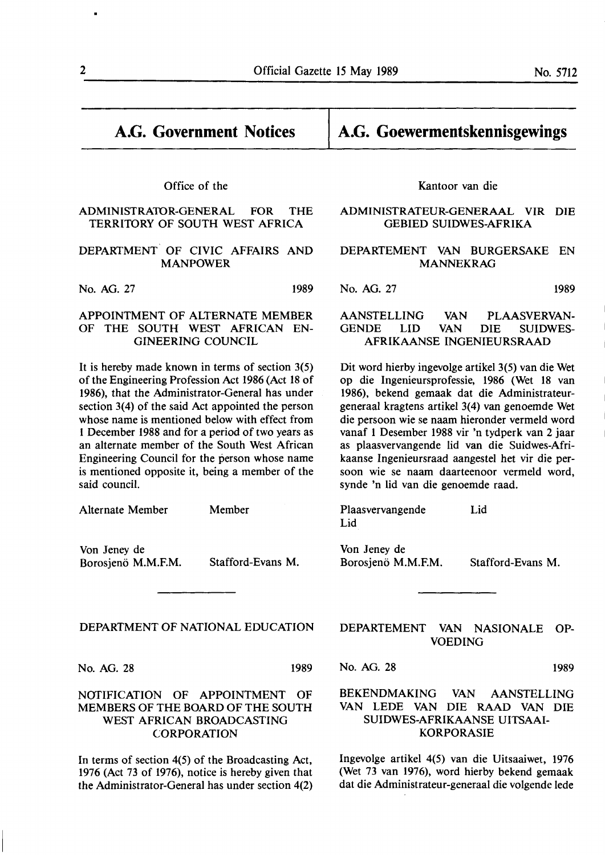Office of the

ADMINISTRATOR-GENERAL FOR THE TERRITORY OF SOUTH WEST AFRICA

DEPARTMENT OF CIVIC AFFAIRS AND MANPOWER

No. AG. 27 1989

#### APPOINTMENT OF ALTERNATE MEMBER OF THE SOUTH WEST AFRICAN EN-GINEERING COUNCIL

It is hereby made known in terms of section 3(5) of the Engineering Profession Act 1986 (Act 18 of 1986), that the Administrator-General has under section 3(4) of the said Act appointed the person whose name is mentioned below with effect from 1 December 1988 and for a period of two years as an alternate member of the South West African Engineering Council for the person whose name is mentioned opposite it, being a member of the said council.

Alternate Member

Member

Von Jeney de Borosienö M.M.F.M. Stafford-Evans M.

DEPARTMENT OF NATIONAL EDUCATION

No. AG. 28 1989

### NOTIFICATION OF APPOINTMENT OF MEMBERS OF THE BOARD OF THE SOUTH WEST AFRICAN BROADCASTING **CORPORATION**

In terms of section 4(5) of the Broadcasting Act, 1976 (Act 73 of 1976), notice is hereby given that the Administrator-General has under section 4(2) Kantoor van die

**A.G. Goewermentskennisgewings** 

#### ADMINISTRATEUR-GENERAAL VIR DIE GEBIED SUIDWES-AFRIKA

#### DEPARTEMENT VAN BURGERSAKE EN **MANNEKRAG**

No. AG. 27 1989

#### AANSTELLING VAN PLAASVERVAN-GENDE LID VAN DIE SUIDWES-AFRIKAANSE INGENIEURSRAAD

Dit word hierby ingevolge artikel 3(5) van die Wet op die lngenieursprofessie, 1986 (Wet 18 van 1986), bekend gemaak dat die Administrateurgeneraal kragtens artikel 3(4) van genoemde Wet die persoon wie se naam hieronder vermeld word vanaf 1 Desember 1988 vir 'n tydperk van 2 jaar as plaasvervangende lid van die Suidwes-Afrikaanse lngenieursraad aangestel het vir die persoon wie se naam daarteenoor vermeld word, synde 'n lid van die genoemde raad.

Plaasvervangende Lid Lid

Von Jeney de Borosjenö M.M.F.M. Stafford-Evans M.

DEPARTEMENT VAN NASIONALE OP-VOEDING

No. AG. 28 1989

#### BEKENDMAKING VAN AANSTELLING VAN LEDE VAN DIE RAAD VAN DIE SUIDWES-AFRIKAANSE UITSAAI-KORPORASIE

Ingevolge artikel 4(5) van die Uitsaaiwet, 1976 (Wet 73 van 1976), word hierby bekend gemaak dat die Administrateur-generaal die volgende lede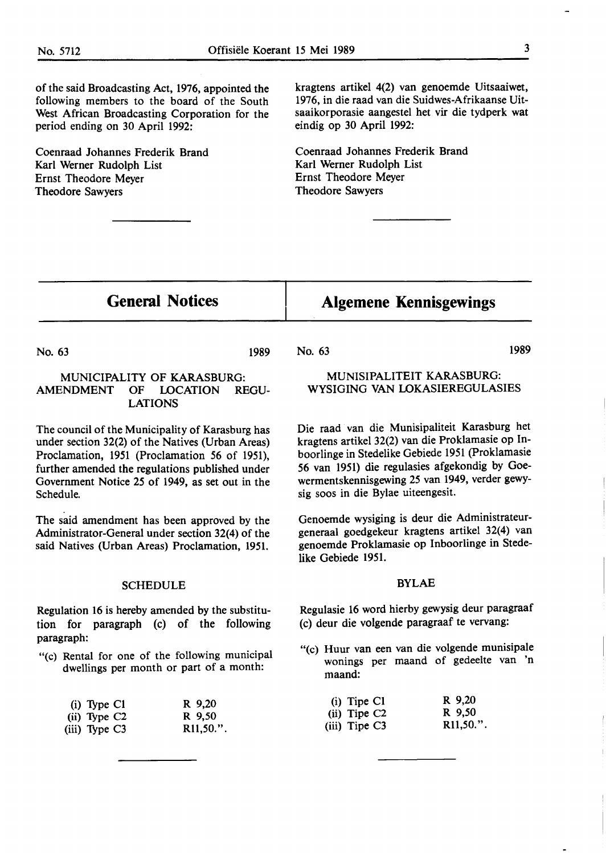of the said Broadcasting Act, 1976, appointed the following members to the board of the South West African Broadcasting Corporation for the period ending on 30 April 1992:

Coenraad Johannes Frederik Brand Karl **Werner** Rudolph List Ernst Theodore Meyer Theodore Sawyers

kragtens artikel 4(2) van genoemde Uitsaaiwet, 1976, in die raad van die Suidwes-Afrikaanse Uitsaaikorporasie aangestel het vir die tydperk wat eindig op 30 April 1992:

Coenraad Johannes Frederik Brand Karl Werner Rudolph List Ernst Theodore Meyer Theodore Sawyers

## **General Notices**

## **Algemene Kennisgewings**

No. 63

1989 No. 63

> MUNISIPALITEIT KARASBURG: WYSIGING VAN LOKASIEREGULASIES

Die raad van die Munisipaliteit Karasburg het kragtens artikel 32(2) van die Proklamasie op Inboorlinge in Stedelike Gebiede 1951 (Proklamasie *56* **van** 1951) die regulasies afgekondig by Goewermentskennisgewing 25 van **1949,** verder **gewy**sig soos in die Bylae uiteengesit.

Genoemde wysiging is deur die Administrateurgeneraal goedgekeur kragtens artikel 32(4) van genoemde Proklamasie op Inboorlinge in Stedelike Gebiede 1951.

#### BYLAE

Regulasie 16 word hierby gewysig deur paragraaf (c) deur die volgende paragraaf te vervang:

"(c) Huur van een van die volgende munisipale wonings per maand of gedeelte van 'n maand:

| $(i)$ Tipe C1              | R 9,20   |
|----------------------------|----------|
| $(ii)$ Tipe C <sub>2</sub> | R 9.50   |
| (iii) Tipe C3              | R11,50." |

1989

#### **MUNICIPALITY** OF **KARASBURG: AMENDMENT OF LOCATION REGU-LATIONS**

The council of the Municipality of Karasburg has under section 32(2) of the Natives (Urban Areas) Proclamation, 1951 (Proclamation *56* of 1951), further amended the regulations published under Government Notice 25 of 1949, as set out in the Schedule.

The said amendment has been approved by the Administrator-General under section 32(4) of the said Natives (Urban Areas) Proclamation, 1951.

#### **SCHEDULE**

Regulation 16 is hereby amended by the substitution for paragraph (c) of the following paragraph:

"(c) Rental for one of the following municipal dwellings per month or part of a month:

| $(i)$ Type C1              | R 9,20                 |
|----------------------------|------------------------|
| $(ii)$ Type C <sub>2</sub> | R 9,50                 |
| $(iii)$ Type C3            | R <sub>11</sub> ,50.". |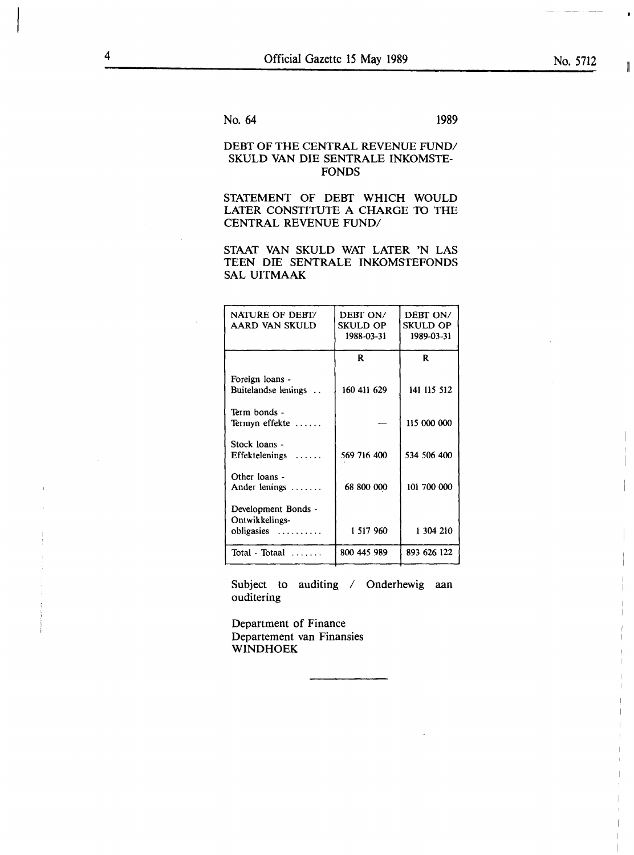I

I

I

I

I

I

I

I

No. 64 1989

### DEBT OF THE CENTRAL REVENUE FUND/ SKULD VAN DIE SENTRALE INKOMSTE-FONDS

STATEMENT OF DEBT WHICH WOULD LATER CONSTITUTE A CHARGE TO THE CENTRAL REVENUE FUND/

STAAT VAN SKULD WAT LATER 'N LAS TEEN DIE SENTRALE INKOMSTEFONDS SAL UITMAAK

| NATURE OF DEBT/<br>AARD VAN SKULD                     | DEBT ON/<br><b>SKULD OP</b><br>1988-03-31 | DEBT ON/<br><b>SKULD OP</b><br>1989-03-31 |
|-------------------------------------------------------|-------------------------------------------|-------------------------------------------|
|                                                       | R.                                        | R.                                        |
| Foreign loans -<br>Buitelandse lenings                | 160 411 629                               | 141 115 512                               |
| Term bonds -<br>Termyn effekte                        |                                           | 115 000 000                               |
| Stock loans -<br>Effektelenings<br>$\overline{1}$     | 569 716 400                               | 534 506 400                               |
| Other loans -<br>Ander lenings                        | 68 800 000                                | 101 700 000                               |
| Development Bonds -<br>Ontwikkelings-<br>$obligasies$ | 1 517 960                                 | 1 304 210                                 |
| Total - Totaal                                        | 800 445 989                               | 893 626 122                               |

Subject to auditing / Onderhewig aan ouditering

Department of Finance Departement van Finansies **WINDHOEK**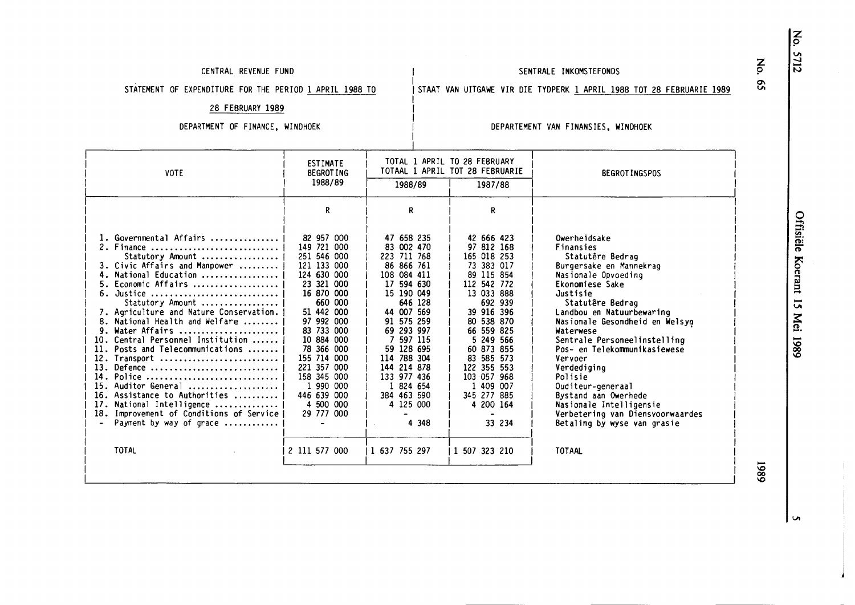#### CENTRAL REVENUE FUND

#### SENTRALE INKOMSTEFONDS

STATEMENT OF EXPENDITURE FOR THE PERIOD 1 **APRIL 1988** TO

# I<br>I STAAT VAN UITGAWE VIR DIE TYDPERK <u>1 APRIL 1988 TOT 28 FEBRUARIE 1989</u>

28 FEBRUARY **1989** 

#### DEPARTMENT OF FINANCE, WINDHOEK

#### DEPARTEMENT VAN FINANSIES, WINDHOEK

| <b>VOTE</b>                                                                                                                                                                                                                                                                                                                                                                                                                                                                                                                                                                   | <b>ESTIMATE</b><br><b>BEGROTING</b>                                                                                                                                                                                                                                                                      |                                                                                                                                                                                                                                                                                                    | TOTAL 1 APRIL TO 28 FEBRUARY<br>TOTAAL 1 APRIL TOT 28 FEBRUARIE                                                                                                                                                                                                                                  | <b>BEGROTINGSPOS</b>                                                                                                                                                                                                                                                                                                                                                                                                                                                                     |
|-------------------------------------------------------------------------------------------------------------------------------------------------------------------------------------------------------------------------------------------------------------------------------------------------------------------------------------------------------------------------------------------------------------------------------------------------------------------------------------------------------------------------------------------------------------------------------|----------------------------------------------------------------------------------------------------------------------------------------------------------------------------------------------------------------------------------------------------------------------------------------------------------|----------------------------------------------------------------------------------------------------------------------------------------------------------------------------------------------------------------------------------------------------------------------------------------------------|--------------------------------------------------------------------------------------------------------------------------------------------------------------------------------------------------------------------------------------------------------------------------------------------------|------------------------------------------------------------------------------------------------------------------------------------------------------------------------------------------------------------------------------------------------------------------------------------------------------------------------------------------------------------------------------------------------------------------------------------------------------------------------------------------|
|                                                                                                                                                                                                                                                                                                                                                                                                                                                                                                                                                                               | 1988/89                                                                                                                                                                                                                                                                                                  | 1988/89                                                                                                                                                                                                                                                                                            | 1987/88                                                                                                                                                                                                                                                                                          |                                                                                                                                                                                                                                                                                                                                                                                                                                                                                          |
|                                                                                                                                                                                                                                                                                                                                                                                                                                                                                                                                                                               | R                                                                                                                                                                                                                                                                                                        | R.                                                                                                                                                                                                                                                                                                 | R.                                                                                                                                                                                                                                                                                               |                                                                                                                                                                                                                                                                                                                                                                                                                                                                                          |
| 1. Governmental Affairs<br>2. Finance<br>Statutory Amount<br>3. Civic Affairs and Manpower<br>4. National Education<br>5. Economic Affairs<br>6. Justice<br>Statutory Amount<br>7. Agriculture and Nature Conservation.<br>8. National Health and Welfare<br>Water Affairs<br>10. Central Personnel Institution<br>11. Posts and Telecommunications<br>12. Transport<br>13. Defence<br>14. Police<br>15. Auditor General<br>16. Assistance to Authorities<br>17. National Intelligence<br>18. Improvement of Conditions of Service<br>Payment by way of grace<br><b>TOTAL</b> | 82 957 000<br>149 721 000<br>251 546 000<br>121 133 000<br>124 630 000<br>23 321 000<br>16 870 000<br>660 000<br>51 442 000<br>97 992 000<br>83 733 000<br>10 884 000<br>78 366 000<br>155 714 000<br>221 357 000<br>158 345 000<br>1 990 000<br>446 639 000<br>4 500 000<br>29 777 000<br>2 111 577 000 | 47 658 235<br>83 002 470<br>223 711 768<br>86 866 761<br>108 084 411<br>17 594 630<br>15 190 049<br>646 128<br>44 007 569<br>91 575 259<br>69 293 997<br>7 597 115<br>59 128 695<br>114 788 304<br>144 214 878<br>133 977 436<br>1 824 654<br>384 463 590<br>4 125 000<br>4 3 4 8<br>1 637 755 297 | 42 666 423<br>97 812 168<br>165 018 253<br>73 383 017<br>89 115 854<br>112 542 772<br>13 033 888<br>692 939<br>39 916 396<br>80 538 870<br>66 559 825<br>5 249 566<br>60 873 855<br>83 585 573<br>122 355 553<br>103 057 968<br>1 409 007<br>345 277 885<br>4 200 164<br>33 234<br>1 507 323 210 | Owerheidsake<br>Finansies<br>Statutêre Bedraq<br>Burgersake en Mannekrag<br>Nasionale Opvoeding<br>Ekonomiese Sake<br>Justisie<br>Statutêre Bedraq<br>Landbou en Natuurbewaring<br>Nasionale Gesondheid en Welsyn<br>Waterwese<br>Sentrale Personeelinstelling<br>Pos- en Telekommunikasiewese<br>Vervoer<br>Verdediging<br>Polisie<br>Ouditeur-generaal<br>Bystand aan Owerhede<br>Nasionale Intelligensie<br>Verbetering van Diensvoorwaardes<br>Betaling by wyse van grasie<br>TOTAAL |

I I

I

-'° **00**  '°

 $\bullet$ 

z p

 $\mathbf{S}$ 

VI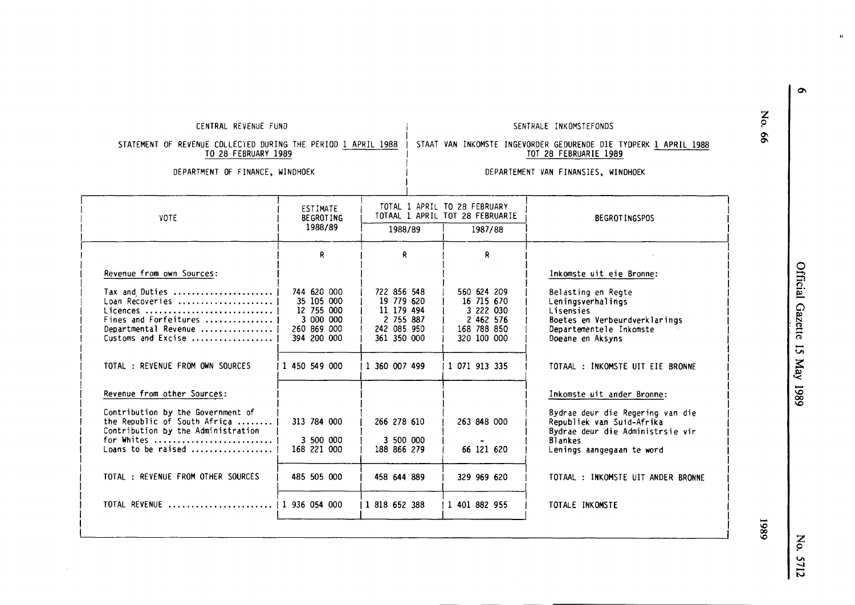| TO 28 FEBRUARY 1989                                                                                                                                     |                                                                                                     |                                                                                                     | TOT 28 FEBRUARIE 1989<br>DEPARTEMENT VAN FINANSIES, WINDHOEK                                       |                                                                                                                                                                          |  |  |
|---------------------------------------------------------------------------------------------------------------------------------------------------------|-----------------------------------------------------------------------------------------------------|-----------------------------------------------------------------------------------------------------|----------------------------------------------------------------------------------------------------|--------------------------------------------------------------------------------------------------------------------------------------------------------------------------|--|--|
| DEPARTMENT OF FINANCE, WINDHOEK                                                                                                                         |                                                                                                     |                                                                                                     |                                                                                                    |                                                                                                                                                                          |  |  |
| <b>VOTE</b>                                                                                                                                             | ESTIMATE<br><b>BEGROTING</b><br>1988/89                                                             | 1988/89                                                                                             | TOTAL 1 APRIL TO 28 FEBRUARY<br>TOTAAL 1 APRIL TOT 28 FEBRUARIE<br>1987/88                         | <b>BEGROTINGSPOS</b>                                                                                                                                                     |  |  |
|                                                                                                                                                         | R.                                                                                                  | R                                                                                                   | R.                                                                                                 |                                                                                                                                                                          |  |  |
| Revenue from own Sources:                                                                                                                               |                                                                                                     |                                                                                                     |                                                                                                    | Inkomste uit eie Bronne:                                                                                                                                                 |  |  |
| Tax and Duties<br>Loan Recoveries<br>Licences<br>Fines and Forfeitures<br>Departmental Revenue<br>Customs and Excise<br>TOTAL: REVENUE FROM OWN SOURCES | 744 620 000<br>35 105 000<br>12 755 000<br>3 000 000<br>260 869 000<br>394 200 000<br>1 450 549 000 | 722 856 548<br>19 779 620<br>11 179 494<br>2 755 887<br>242 085 950<br>361 350 000<br>1 360 007 499 | 560 624 209<br>16 715 670<br>3 222 030<br>2 462 576<br>168 788 850<br>320 100 000<br>1 071 913 335 | Belasting en Regte<br>Leningsverhalings<br>Lisensies<br>Boetes en Verbeurdverklarings<br>Departementele Inkomste<br>Doeane en Aksyns<br>TOTAAL : INKOMSTE UIT EIE BRONNE |  |  |
| Revenue from other Sources:                                                                                                                             |                                                                                                     |                                                                                                     |                                                                                                    | Inkomste uit ander Bronne:                                                                                                                                               |  |  |
| Contribution by the Government of<br>the Republic of South Africa<br>Contribution by the Administration<br>for Whites<br>Loans to be raised             | 313 784 000<br>3 500 000<br>168 221 000                                                             | 266 278 610<br>3 500 000<br>188 866 279                                                             | 263 848 000<br>66 121 620                                                                          | Bydrae deur die Regering van die<br>Republiek van Suid-Afrika<br>Bydrae deur die Administrsie vir<br><b>Blankes</b><br>Lenings aangegaan te word                         |  |  |
| TOTAL: REVENUE FROM OTHER SOURCES                                                                                                                       | 485 505 000                                                                                         | 458 644 889                                                                                         | 329 969 620                                                                                        | TOTAAL : INKOMSTE UIT ANDER BRONNE                                                                                                                                       |  |  |
|                                                                                                                                                         |                                                                                                     |                                                                                                     |                                                                                                    |                                                                                                                                                                          |  |  |

I 1 818 652 388 I 1 401 882 955

CENTRAL REVENUE FUND SENTRALE INKOMSTEFONDS

TOTAL REVENUE ....................... I 1 936 054 000

TOTALE INKOMSTE

STATEMENT OF REVENUE COLLECTED DURING THE PERIOD <u>1 APRIL 1988</u> STAAT VAN INKOMSTE INGEVORDER GEDURENDE DIE TYDPERK <u>1 APRIL 1988</u> TOT 28 **FEBRUARIE 1989** - - -

> Official ຼດ zette 15  $\tilde{\mathbf{H}}$ 686I *k*

- **1,0 00 1,0** 

 $\mathbf{u}$ 

**z**  p ~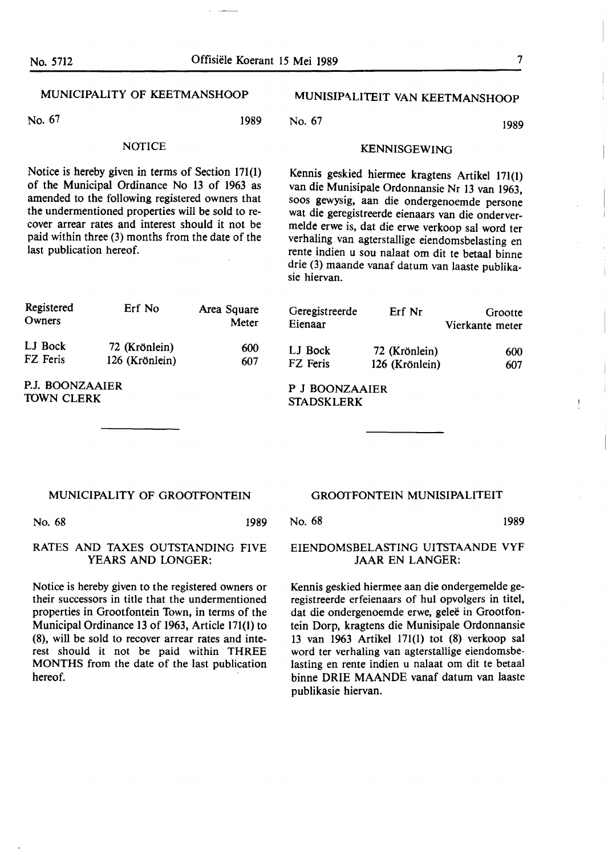#### MUNICIPALITY OF KEETMANSHOOP

No. 67 1989

#### **NOTICE**

Notice is hereby given in terms of Section 171(1) of the Municipal Ordinance No 13 of 1963 as amended to the following registered owners that the undermentioned properties will **be** sold to recover arrear rates and interest should it not be paid within three (3) months from the date of the last publication hereof.

### MUNISIPALITEIT VAN KEETMANSHOOP

No. 67 1989

KENNISGEWING

Kennis geskied hiermee kragtens Artikel 171(1) van die Munisipale Ordonnansie Nr 13 van 1963, soos gewysig, aan die ondergenoemde persone wat die geregistreerde eienaars van die ondervermelde erwe is, dat die erwe verkoop sal word ter verhaling van agterstallige eiendomsbelasting en rente indien u sou nalaat om dit te betaal binne drie (3) maande vanaf datum van laaste publikasie hiervan.

| Registered<br>Owners                 | Erf No                          | Area Square<br>Meter | Geregistreerde<br>Eienaar           | Erf Nr                          | Grootte<br>Vierkante meter |
|--------------------------------------|---------------------------------|----------------------|-------------------------------------|---------------------------------|----------------------------|
| LJ Bock<br>FZ Feris                  | 72 (Krönlein)<br>126 (Krönlein) | 600<br>607           | LJ Bock<br>FZ Feris                 | 72 (Krönlein)<br>126 (Krönlein) | 600<br>607                 |
| P.J. BOONZAAIER<br><b>TOWN CLERK</b> |                                 |                      | P J BOONZAAIER<br><b>STADSKIFRK</b> |                                 |                            |

STADSKLERK

#### MUNICIPALITY OF GROOTFONTEIN

No. 68 1989

#### RATES AND TAXES OUTSTANDING FIVE YEARS AND LONGER:

Notice is hereby given to the registered owners or their successors in title that the undermentioned properties in Grootfontein Town, in terms of the Municipal Ordinance 13 of 1963, Article 171(1) to (8), will be sold to recover arrear rates and interest should it not be paid within THREE MONTHS from the date of the last publication hereof.

#### GROOTFONTEIN MUNISIPALITEIT

No. 68 1989

#### EIENDOMSBELASTING UITSTAANDE VYF JAAR EN LANGER:

Kennis geskied hiermee aan die ondergemelde geregistreerde erfeienaars of hul opvolgers in titel, dat die ondergenoemde erwe, geleë in Grootfontein Dorp, kragtens die Munisipale Ordonnansie 13 van 1963 Artikel 171(1) tot (8) verkoop sal word ter verhaling van agterstallige eiendomsbelasting en rente indien u nalaat om dit te betaal binne DRIB MAANDE vanaf datum van laaste publikasie hiervan.